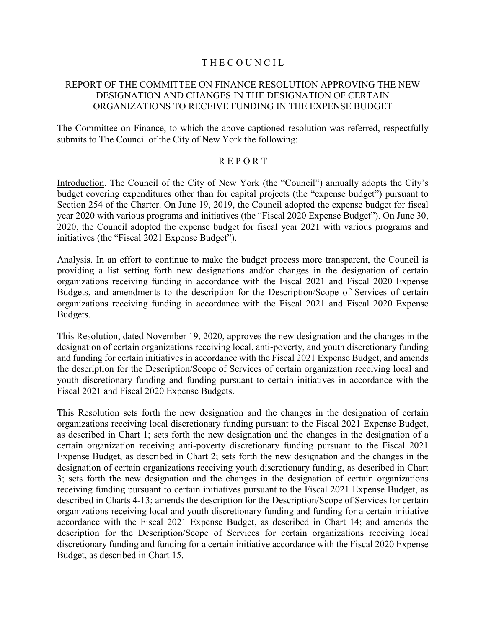# THE COUNCIL

# REPORT OF THE COMMITTEE ON FINANCE RESOLUTION APPROVING THE NEW DESIGNATION AND CHANGES IN THE DESIGNATION OF CERTAIN ORGANIZATIONS TO RECEIVE FUNDING IN THE EXPENSE BUDGET

The Committee on Finance, to which the above-captioned resolution was referred, respectfully submits to The Council of the City of New York the following:

## R E P O R T

Introduction. The Council of the City of New York (the "Council") annually adopts the City's budget covering expenditures other than for capital projects (the "expense budget") pursuant to Section 254 of the Charter. On June 19, 2019, the Council adopted the expense budget for fiscal year 2020 with various programs and initiatives (the "Fiscal 2020 Expense Budget"). On June 30, 2020, the Council adopted the expense budget for fiscal year 2021 with various programs and initiatives (the "Fiscal 2021 Expense Budget").

Analysis. In an effort to continue to make the budget process more transparent, the Council is providing a list setting forth new designations and/or changes in the designation of certain organizations receiving funding in accordance with the Fiscal 2021 and Fiscal 2020 Expense Budgets, and amendments to the description for the Description/Scope of Services of certain organizations receiving funding in accordance with the Fiscal 2021 and Fiscal 2020 Expense Budgets.

This Resolution, dated November 19, 2020, approves the new designation and the changes in the designation of certain organizations receiving local, anti-poverty, and youth discretionary funding and funding for certain initiatives in accordance with the Fiscal 2021 Expense Budget, and amends the description for the Description/Scope of Services of certain organization receiving local and youth discretionary funding and funding pursuant to certain initiatives in accordance with the Fiscal 2021 and Fiscal 2020 Expense Budgets.

This Resolution sets forth the new designation and the changes in the designation of certain organizations receiving local discretionary funding pursuant to the Fiscal 2021 Expense Budget, as described in Chart 1; sets forth the new designation and the changes in the designation of a certain organization receiving anti-poverty discretionary funding pursuant to the Fiscal 2021 Expense Budget, as described in Chart 2; sets forth the new designation and the changes in the designation of certain organizations receiving youth discretionary funding, as described in Chart 3; sets forth the new designation and the changes in the designation of certain organizations receiving funding pursuant to certain initiatives pursuant to the Fiscal 2021 Expense Budget, as described in Charts 4-13; amends the description for the Description/Scope of Services for certain organizations receiving local and youth discretionary funding and funding for a certain initiative accordance with the Fiscal 2021 Expense Budget, as described in Chart 14; and amends the description for the Description/Scope of Services for certain organizations receiving local discretionary funding and funding for a certain initiative accordance with the Fiscal 2020 Expense Budget, as described in Chart 15.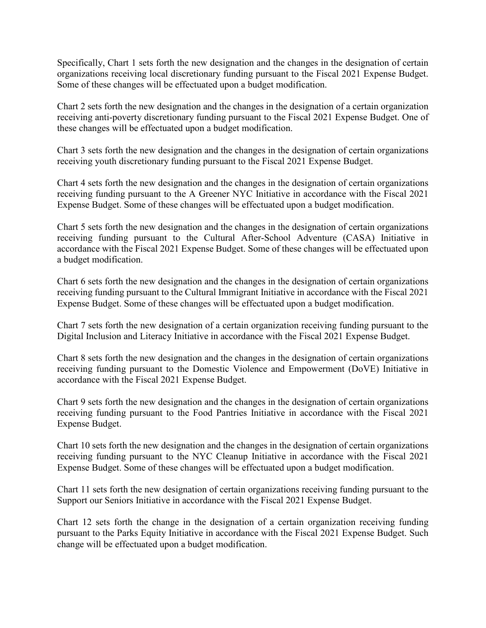Specifically, Chart 1 sets forth the new designation and the changes in the designation of certain organizations receiving local discretionary funding pursuant to the Fiscal 2021 Expense Budget. Some of these changes will be effectuated upon a budget modification.

Chart 2 sets forth the new designation and the changes in the designation of a certain organization receiving anti-poverty discretionary funding pursuant to the Fiscal 2021 Expense Budget. One of these changes will be effectuated upon a budget modification.

Chart 3 sets forth the new designation and the changes in the designation of certain organizations receiving youth discretionary funding pursuant to the Fiscal 2021 Expense Budget.

Chart 4 sets forth the new designation and the changes in the designation of certain organizations receiving funding pursuant to the A Greener NYC Initiative in accordance with the Fiscal 2021 Expense Budget. Some of these changes will be effectuated upon a budget modification.

Chart 5 sets forth the new designation and the changes in the designation of certain organizations receiving funding pursuant to the Cultural After-School Adventure (CASA) Initiative in accordance with the Fiscal 2021 Expense Budget. Some of these changes will be effectuated upon a budget modification.

Chart 6 sets forth the new designation and the changes in the designation of certain organizations receiving funding pursuant to the Cultural Immigrant Initiative in accordance with the Fiscal 2021 Expense Budget. Some of these changes will be effectuated upon a budget modification.

Chart 7 sets forth the new designation of a certain organization receiving funding pursuant to the Digital Inclusion and Literacy Initiative in accordance with the Fiscal 2021 Expense Budget.

Chart 8 sets forth the new designation and the changes in the designation of certain organizations receiving funding pursuant to the Domestic Violence and Empowerment (DoVE) Initiative in accordance with the Fiscal 2021 Expense Budget.

Chart 9 sets forth the new designation and the changes in the designation of certain organizations receiving funding pursuant to the Food Pantries Initiative in accordance with the Fiscal 2021 Expense Budget.

Chart 10 sets forth the new designation and the changes in the designation of certain organizations receiving funding pursuant to the NYC Cleanup Initiative in accordance with the Fiscal 2021 Expense Budget. Some of these changes will be effectuated upon a budget modification.

Chart 11 sets forth the new designation of certain organizations receiving funding pursuant to the Support our Seniors Initiative in accordance with the Fiscal 2021 Expense Budget.

Chart 12 sets forth the change in the designation of a certain organization receiving funding pursuant to the Parks Equity Initiative in accordance with the Fiscal 2021 Expense Budget. Such change will be effectuated upon a budget modification.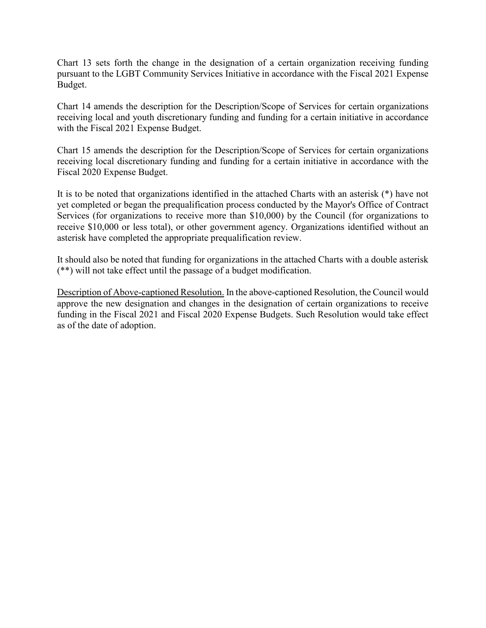Chart 13 sets forth the change in the designation of a certain organization receiving funding pursuant to the LGBT Community Services Initiative in accordance with the Fiscal 2021 Expense Budget.

Chart 14 amends the description for the Description/Scope of Services for certain organizations receiving local and youth discretionary funding and funding for a certain initiative in accordance with the Fiscal 2021 Expense Budget.

Chart 15 amends the description for the Description/Scope of Services for certain organizations receiving local discretionary funding and funding for a certain initiative in accordance with the Fiscal 2020 Expense Budget.

It is to be noted that organizations identified in the attached Charts with an asterisk (\*) have not yet completed or began the prequalification process conducted by the Mayor's Office of Contract Services (for organizations to receive more than \$10,000) by the Council (for organizations to receive \$10,000 or less total), or other government agency. Organizations identified without an asterisk have completed the appropriate prequalification review.

It should also be noted that funding for organizations in the attached Charts with a double asterisk (\*\*) will not take effect until the passage of a budget modification.

Description of Above-captioned Resolution. In the above-captioned Resolution, the Council would approve the new designation and changes in the designation of certain organizations to receive funding in the Fiscal 2021 and Fiscal 2020 Expense Budgets. Such Resolution would take effect as of the date of adoption.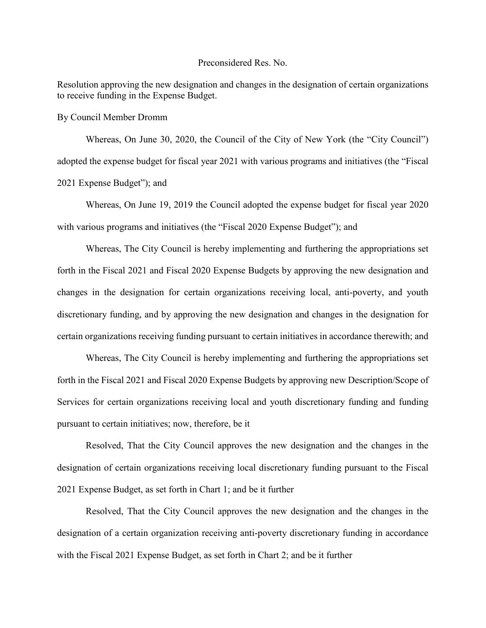#### Preconsidered Res. No.

Resolution approving the new designation and changes in the designation of certain organizations to receive funding in the Expense Budget.

By Council Member Dromm

Whereas, On June 30, 2020, the Council of the City of New York (the "City Council") adopted the expense budget for fiscal year 2021 with various programs and initiatives (the "Fiscal 2021 Expense Budget"); and

Whereas, On June 19, 2019 the Council adopted the expense budget for fiscal year 2020 with various programs and initiatives (the "Fiscal 2020 Expense Budget"); and

Whereas, The City Council is hereby implementing and furthering the appropriations set forth in the Fiscal 2021 and Fiscal 2020 Expense Budgets by approving the new designation and changes in the designation for certain organizations receiving local, anti-poverty, and youth discretionary funding, and by approving the new designation and changes in the designation for certain organizations receiving funding pursuant to certain initiatives in accordance therewith; and

Whereas, The City Council is hereby implementing and furthering the appropriations set forth in the Fiscal 2021 and Fiscal 2020 Expense Budgets by approving new Description/Scope of Services for certain organizations receiving local and youth discretionary funding and funding pursuant to certain initiatives; now, therefore, be it

Resolved, That the City Council approves the new designation and the changes in the designation of certain organizations receiving local discretionary funding pursuant to the Fiscal 2021 Expense Budget, as set forth in Chart 1; and be it further

Resolved, That the City Council approves the new designation and the changes in the designation of a certain organization receiving anti-poverty discretionary funding in accordance with the Fiscal 2021 Expense Budget, as set forth in Chart 2; and be it further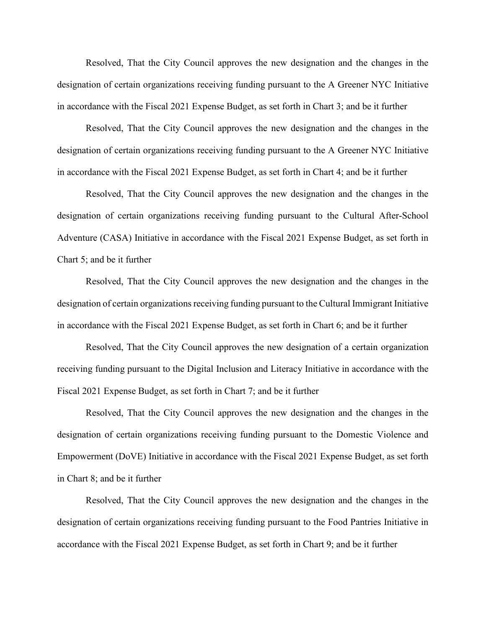Resolved, That the City Council approves the new designation and the changes in the designation of certain organizations receiving funding pursuant to the A Greener NYC Initiative in accordance with the Fiscal 2021 Expense Budget, as set forth in Chart 3; and be it further

Resolved, That the City Council approves the new designation and the changes in the designation of certain organizations receiving funding pursuant to the A Greener NYC Initiative in accordance with the Fiscal 2021 Expense Budget, as set forth in Chart 4; and be it further

Resolved, That the City Council approves the new designation and the changes in the designation of certain organizations receiving funding pursuant to the Cultural After-School Adventure (CASA) Initiative in accordance with the Fiscal 2021 Expense Budget, as set forth in Chart 5; and be it further

Resolved, That the City Council approves the new designation and the changes in the designation of certain organizations receiving funding pursuant to the Cultural Immigrant Initiative in accordance with the Fiscal 2021 Expense Budget, as set forth in Chart 6; and be it further

Resolved, That the City Council approves the new designation of a certain organization receiving funding pursuant to the Digital Inclusion and Literacy Initiative in accordance with the Fiscal 2021 Expense Budget, as set forth in Chart 7; and be it further

Resolved, That the City Council approves the new designation and the changes in the designation of certain organizations receiving funding pursuant to the Domestic Violence and Empowerment (DoVE) Initiative in accordance with the Fiscal 2021 Expense Budget, as set forth in Chart 8; and be it further

Resolved, That the City Council approves the new designation and the changes in the designation of certain organizations receiving funding pursuant to the Food Pantries Initiative in accordance with the Fiscal 2021 Expense Budget, as set forth in Chart 9; and be it further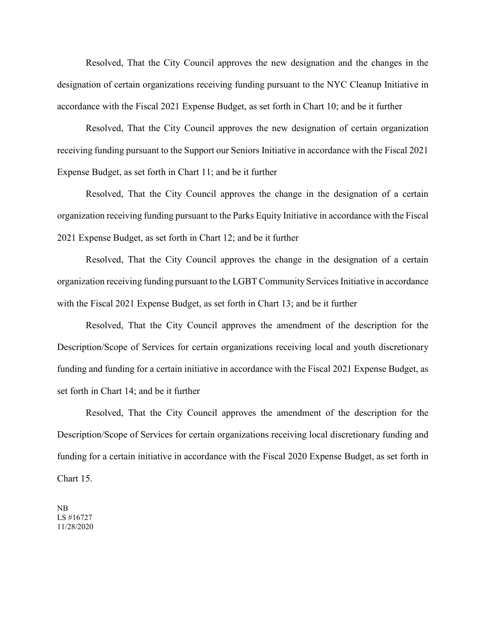Resolved, That the City Council approves the new designation and the changes in the designation of certain organizations receiving funding pursuant to the NYC Cleanup Initiative in accordance with the Fiscal 2021 Expense Budget, as set forth in Chart 10; and be it further

Resolved, That the City Council approves the new designation of certain organization receiving funding pursuant to the Support our Seniors Initiative in accordance with the Fiscal 2021 Expense Budget, as set forth in Chart 11; and be it further

Resolved, That the City Council approves the change in the designation of a certain organization receiving funding pursuant to the Parks Equity Initiative in accordance with the Fiscal 2021 Expense Budget, as set forth in Chart 12; and be it further

Resolved, That the City Council approves the change in the designation of a certain organization receiving funding pursuant to the LGBT Community Services Initiative in accordance with the Fiscal 2021 Expense Budget, as set forth in Chart 13; and be it further

Resolved, That the City Council approves the amendment of the description for the Description/Scope of Services for certain organizations receiving local and youth discretionary funding and funding for a certain initiative in accordance with the Fiscal 2021 Expense Budget, as set forth in Chart 14; and be it further

Resolved, That the City Council approves the amendment of the description for the Description/Scope of Services for certain organizations receiving local discretionary funding and funding for a certain initiative in accordance with the Fiscal 2020 Expense Budget, as set forth in Chart 15.

NB LS #16727 11/28/2020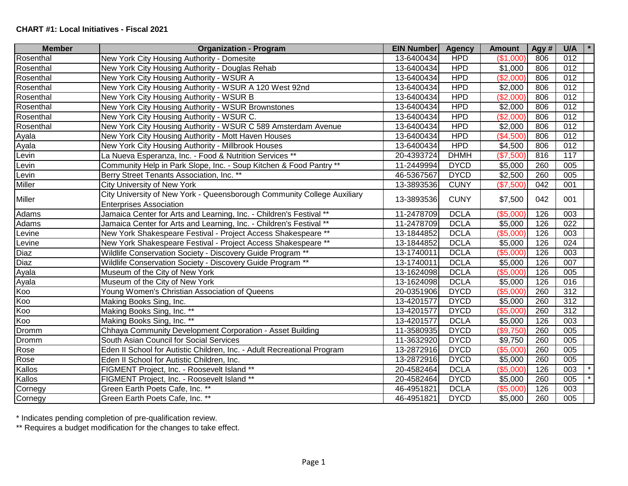| <b>Member</b> | <b>Organization - Program</b>                                                                             | <b>EIN Number</b> | <b>Agency</b> | <b>Amount</b> | Agy # | $\star$<br>U/A   |
|---------------|-----------------------------------------------------------------------------------------------------------|-------------------|---------------|---------------|-------|------------------|
| Rosenthal     | New York City Housing Authority - Domesite                                                                | 13-6400434        | <b>HPD</b>    | (\$1,000)     | 806   | 012              |
| Rosenthal     | New York City Housing Authority - Douglas Rehab                                                           | 13-6400434        | <b>HPD</b>    | \$1,000       | 806   | 012              |
| Rosenthal     | New York City Housing Authority - WSUR A                                                                  | 13-6400434        | <b>HPD</b>    | (\$2,000)     | 806   | 012              |
| Rosenthal     | New York City Housing Authority - WSUR A 120 West 92nd                                                    | 13-6400434        | <b>HPD</b>    | \$2,000       | 806   | 012              |
| Rosenthal     | New York City Housing Authority - WSUR B                                                                  | 13-6400434        | <b>HPD</b>    | (\$2,000)     | 806   | 012              |
| Rosenthal     | New York City Housing Authority - WSUR Brownstones                                                        | 13-6400434        | <b>HPD</b>    | \$2,000       | 806   | 012              |
| Rosenthal     | New York City Housing Authority - WSUR C.                                                                 | 13-6400434        | <b>HPD</b>    | (\$2,000)     | 806   | 012              |
| Rosenthal     | New York City Housing Authority - WSUR C 589 Amsterdam Avenue                                             | 13-6400434        | <b>HPD</b>    | \$2,000       | 806   | $\overline{012}$ |
| Ayala         | New York City Housing Authority - Mott Haven Houses                                                       | 13-6400434        | <b>HPD</b>    | (\$4,500)     | 806   | 012              |
| Ayala         | New York City Housing Authority - Millbrook Houses                                                        | 13-6400434        | <b>HPD</b>    | \$4,500       | 806   | 012              |
| Levin         | La Nueva Esperanza, Inc. - Food & Nutrition Services **                                                   | 20-4393724        | <b>DHMH</b>   | (\$7,500)     | 816   | $\overline{117}$ |
| Levin         | Community Help in Park Slope, Inc. - Soup Kitchen & Food Pantry **                                        | 11-2449994        | <b>DYCD</b>   | \$5,000       | 260   | 005              |
| Levin         | Berry Street Tenants Association, Inc. **                                                                 | 46-5367567        | <b>DYCD</b>   | \$2,500       | 260   | 005              |
| Miller        | <b>City University of New York</b>                                                                        | 13-3893536        | <b>CUNY</b>   | (\$7,500)     | 042   | 001              |
| Miller        | City University of New York - Queensborough Community College Auxiliary<br><b>Enterprises Association</b> | 13-3893536        | <b>CUNY</b>   | \$7,500       | 042   | 001              |
| Adams         | Jamaica Center for Arts and Learning, Inc. - Children's Festival **                                       | 11-2478709        | <b>DCLA</b>   | (\$5,000      | 126   | 003              |
| Adams         | Jamaica Center for Arts and Learning, Inc. - Children's Festival **                                       | 11-2478709        | <b>DCLA</b>   | \$5,000       | 126   | 022              |
| Levine        | New York Shakespeare Festival - Project Access Shakespeare **                                             | 13-1844852        | <b>DCLA</b>   | (\$5,000)     | 126   | 003              |
| Levine        | New York Shakespeare Festival - Project Access Shakespeare **                                             | 13-1844852        | <b>DCLA</b>   | \$5,000       | 126   | 024              |
| <b>Diaz</b>   | Wildlife Conservation Society - Discovery Guide Program **                                                | 13-1740011        | <b>DCLA</b>   | (\$5,000)     | 126   | 003              |
| <b>Diaz</b>   | Wildlife Conservation Society - Discovery Guide Program **                                                | 13-1740011        | <b>DCLA</b>   | \$5,000       | 126   | 007              |
| Ayala         | Museum of the City of New York                                                                            | 13-1624098        | <b>DCLA</b>   | (\$5,000)     | 126   | 005              |
| Ayala         | Museum of the City of New York                                                                            | 13-1624098        | <b>DCLA</b>   | \$5,000       | 126   | 016              |
| Koo           | Young Women's Christian Association of Queens                                                             | 20-0351906        | <b>DYCD</b>   | (\$5,000)     | 260   | $\overline{312}$ |
| Koo           | Making Books Sing, Inc.                                                                                   | 13-4201577        | <b>DYCD</b>   | \$5,000       | 260   | 312              |
| Koo           | Making Books Sing, Inc. **                                                                                | 13-4201577        | <b>DYCD</b>   | (\$5,000)     | 260   | $\overline{312}$ |
| Koo           | Making Books Sing, Inc. **                                                                                | 13-4201577        | <b>DCLA</b>   | \$5,000       | 126   | 003              |
| Dromm         | Chhaya Community Development Corporation - Asset Building                                                 | 11-3580935        | <b>DYCD</b>   | (\$9,750)     | 260   | 005              |
| Dromm         | South Asian Council for Social Services                                                                   | 11-3632920        | <b>DYCD</b>   | \$9,750       | 260   | 005              |
| Rose          | Eden II School for Autistic Children, Inc. - Adult Recreational Program                                   | 13-2872916        | <b>DYCD</b>   | (\$5,000)     | 260   | 005              |
| Rose          | Eden II School for Autistic Children, Inc.                                                                | 13-2872916        | <b>DYCD</b>   | \$5,000       | 260   | 005              |
| Kallos        | FIGMENT Project, Inc. - Roosevelt Island **                                                               | 20-4582464        | <b>DCLA</b>   | (\$5,000)     | 126   | 003              |
| Kallos        | FIGMENT Project, Inc. - Roosevelt Island **                                                               | 20-4582464        | <b>DYCD</b>   | \$5,000       | 260   | 005              |
| Cornegy       | Green Earth Poets Cafe, Inc. **                                                                           | 46-4951821        | <b>DCLA</b>   | (\$5,000)     | 126   | 003              |
| Cornegy       | Green Earth Poets Cafe, Inc. **                                                                           | 46-4951821        | <b>DYCD</b>   | \$5,000       | 260   | 005              |

\* Indicates pending completion of pre-qualification review.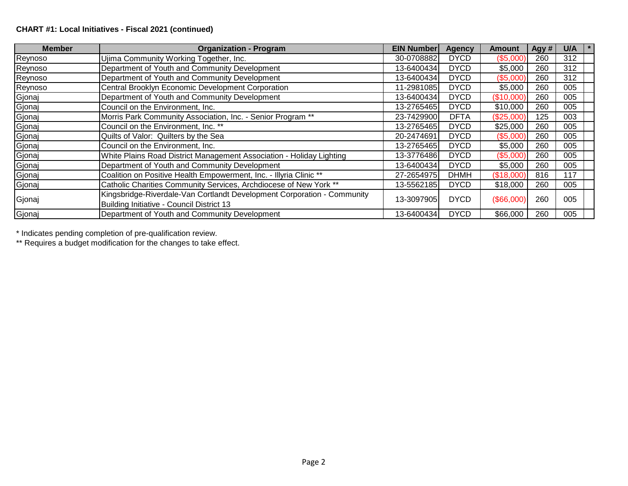## **CHART #1: Local Initiatives - Fiscal 2021 (continued)**

| <b>Member</b> | <b>Organization - Program</b>                                                                                        | <b>EIN Number</b> | <b>Agency</b> | Amount     | Agy # | U/A |
|---------------|----------------------------------------------------------------------------------------------------------------------|-------------------|---------------|------------|-------|-----|
| Reynoso       | Ujima Community Working Together, Inc.                                                                               | 30-0708882        | <b>DYCD</b>   | (\$5,000)  | 260   | 312 |
| Reynoso       | Department of Youth and Community Development                                                                        | 13-6400434        | <b>DYCD</b>   | \$5,000    | 260   | 312 |
| Reynoso       | Department of Youth and Community Development                                                                        | 13-6400434        | <b>DYCD</b>   | (\$5,000)  | 260   | 312 |
| Reynoso       | Central Brooklyn Economic Development Corporation                                                                    | 11-2981085        | <b>DYCD</b>   | \$5,000    | 260   | 005 |
| Gjonaj        | Department of Youth and Community Development                                                                        | 13-6400434        | <b>DYCD</b>   | (\$10,000) | 260   | 005 |
| Gjonaj        | Council on the Environment, Inc.                                                                                     | 13-2765465        | <b>DYCD</b>   | \$10,000   | 260   | 005 |
| Gjonaj        | Morris Park Community Association, Inc. - Senior Program **                                                          | 23-7429900        | <b>DFTA</b>   | (\$25,000) | 125   | 003 |
| Gjonaj        | Council on the Environment, Inc. **                                                                                  | 13-2765465        | <b>DYCD</b>   | \$25,000   | 260   | 005 |
| Gjonaj        | Quilts of Valor: Quilters by the Sea                                                                                 | 20-2474691        | <b>DYCD</b>   | (\$5,000)  | 260   | 005 |
| Gjonaj        | Council on the Environment, Inc.                                                                                     | 13-2765465        | <b>DYCD</b>   | \$5,000    | 260   | 005 |
| Gjonaj        | White Plains Road District Management Association - Holiday Lighting                                                 | 13-3776486        | <b>DYCD</b>   | (\$5,000)  | 260   | 005 |
| Gjonaj        | Department of Youth and Community Development                                                                        | 13-6400434        | <b>DYCD</b>   | \$5,000    | 260   | 005 |
| Gjonaj        | Coalition on Positive Health Empowerment, Inc. - Illyria Clinic **                                                   | 27-2654975        | <b>DHMH</b>   | (\$18,000) | 816   | 117 |
| Gjonaj        | Catholic Charities Community Services, Archdiocese of New York **                                                    | 13-5562185        | <b>DYCD</b>   | \$18,000   | 260   | 005 |
| Gjonaj        | Kingsbridge-Riverdale-Van Cortlandt Development Corporation - Community<br>Building Initiative - Council District 13 | 13-3097905        | <b>DYCD</b>   | (\$66,000) | 260   | 005 |
| Gjonaj        | Department of Youth and Community Development                                                                        | 13-6400434        | <b>DYCD</b>   | \$66,000   | 260   | 005 |

\* Indicates pending completion of pre-qualification review.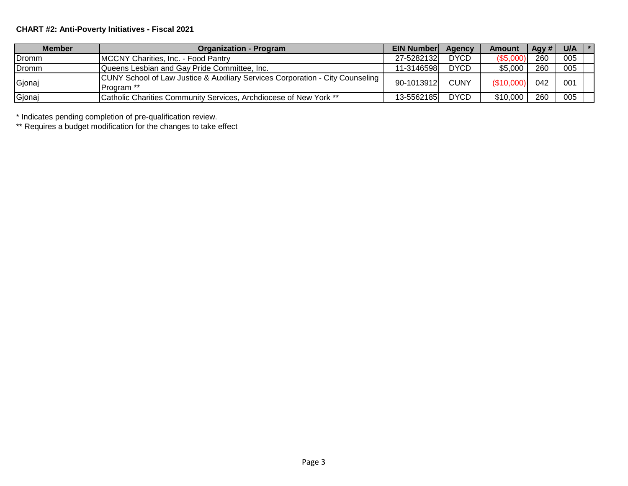# **CHART #2: Anti-Poverty Initiatives - Fiscal 2021**

| <b>Member</b> | <b>Organization - Program</b>                                                               | <b>EIN Number</b> | <b>Agency</b> | Amount     | Agy # | $U/A$ $*$ |  |
|---------------|---------------------------------------------------------------------------------------------|-------------------|---------------|------------|-------|-----------|--|
| Dromm         | MCCNY Charities, Inc. - Food Pantry                                                         | 27-5282132        | <b>DYCD</b>   | (\$5,000   | 260   | 005       |  |
| <b>Dromm</b>  | Queens Lesbian and Gay Pride Committee, Inc.                                                | 11-3146598        | <b>DYCD</b>   | \$5,000    | 260   | 005       |  |
| Gjonaj        | CUNY School of Law Justice & Auxiliary Services Corporation - City Counseling<br>Program ** | 90-1013912        | <b>CUNY</b>   | (\$10,000) | 042   | 001       |  |
| Gjonaj        | Catholic Charities Community Services, Archdiocese of New York **                           | 13-5562185        | <b>DYCD</b>   | \$10,000   | 260   | 005       |  |

\* Indicates pending completion of pre-qualification review.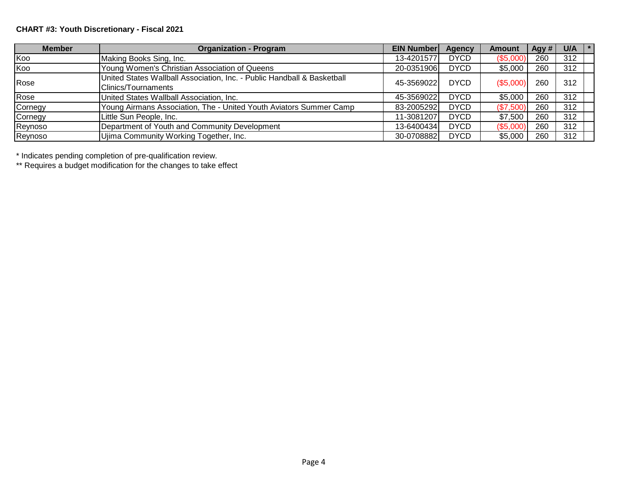# **CHART #3: Youth Discretionary - Fiscal 2021**

| <b>Member</b> | <b>Organization - Program</b>                                                                  | <b>EIN Number</b> | Agency      | <b>Amount</b> | Agy # I | U/A | $\mathbf{r}$ |
|---------------|------------------------------------------------------------------------------------------------|-------------------|-------------|---------------|---------|-----|--------------|
| Koo           | Making Books Sing, Inc.                                                                        | 13-4201577        | <b>DYCD</b> | (\$5,000)     | 260     | 312 |              |
| Koo           | Young Women's Christian Association of Queens                                                  | 20-0351906        | <b>DYCD</b> | \$5,000       | 260     | 312 |              |
| Rose          | United States Wallball Association, Inc. - Public Handball & Basketball<br>Clinics/Tournaments | 45-3569022        | <b>DYCD</b> | ( \$5,000)    | 260     | 312 |              |
| Rose          | United States Wallball Association, Inc.                                                       | 45-35690221       | <b>DYCD</b> | \$5,000       | 260     | 312 |              |
| Cornegy       | Young Airmans Association, The - United Youth Aviators Summer Camp                             | 83-2005292        | <b>DYCD</b> | (\$7,500)     | 260     | 312 |              |
| Cornegy       | Little Sun People, Inc.                                                                        | 11-3081207        | <b>DYCD</b> | \$7,500       | 260     | 312 |              |
| Reynoso       | Department of Youth and Community Development                                                  | 13-6400434        | <b>DYCD</b> | (\$5,000)     | 260     | 312 |              |
| Reynoso       | Ujima Community Working Together, Inc.                                                         | 30-0708882        | <b>DYCD</b> | \$5,000       | 260     | 312 |              |

\* Indicates pending completion of pre-qualification review.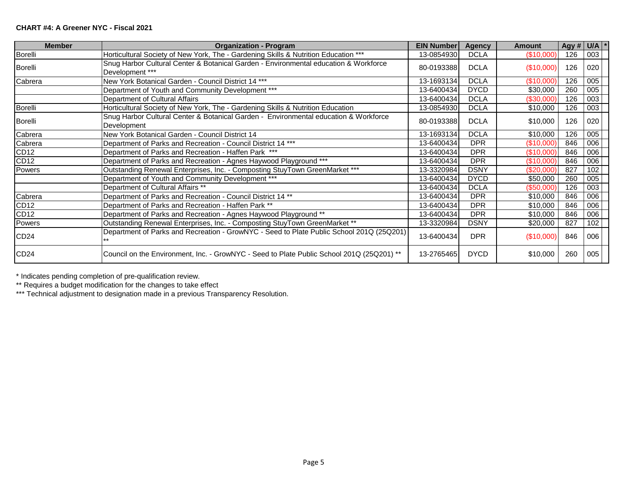#### **CHART #4: A Greener NYC - Fiscal 2021**

| <b>Member</b>    | <b>Organization - Program</b>                                                                           | <b>EIN Number</b> | <b>Agency</b> | <b>Amount</b> | Agy # $ U/A $ |     |  |
|------------------|---------------------------------------------------------------------------------------------------------|-------------------|---------------|---------------|---------------|-----|--|
| Borelli          | Horticultural Society of New York, The - Gardening Skills & Nutrition Education ***                     | 13-0854930        | <b>DCLA</b>   | (\$10,000)    | 126           | 003 |  |
| Borelli          | Snug Harbor Cultural Center & Botanical Garden - Environmental education & Workforce<br>Development *** | 80-0193388        | <b>DCLA</b>   | (\$10,000)    | 126           | 020 |  |
| Cabrera          | New York Botanical Garden - Council District 14 ***                                                     | 13-1693134        | <b>DCLA</b>   | (\$10,000)    | 126           | 005 |  |
|                  | Department of Youth and Community Development ***                                                       | 13-6400434        | <b>DYCD</b>   | \$30,000      | 260           | 005 |  |
|                  | Department of Cultural Affairs                                                                          | 13-6400434        | <b>DCLA</b>   | (\$30,000)    | 126           | 003 |  |
| <b>Borelli</b>   | Horticultural Society of New York, The - Gardening Skills & Nutrition Education                         | 13-0854930        | <b>DCLA</b>   | \$10,000      | 126           | 003 |  |
| Borelli          | Snug Harbor Cultural Center & Botanical Garden - Environmental education & Workforce<br>Development     | 80-0193388        | <b>DCLA</b>   | \$10,000      | 126           | 020 |  |
| Cabrera          | New York Botanical Garden - Council District 14                                                         | 13-1693134        | <b>DCLA</b>   | \$10,000      | 126           | 005 |  |
| Cabrera          | Department of Parks and Recreation - Council District 14 ***                                            | 13-6400434        | <b>DPR</b>    | (\$10,000)    | 846           | 006 |  |
| CD <sub>12</sub> | Department of Parks and Recreation - Haffen Park ***                                                    | 13-6400434        | <b>DPR</b>    | (\$10,000)    | 846           | 006 |  |
| CD12             | Department of Parks and Recreation - Agnes Haywood Playground ***                                       | 13-6400434        | <b>DPR</b>    | (\$10,000)    | 846           | 006 |  |
| Powers           | Outstanding Renewal Enterprises, Inc. - Composting StuyTown GreenMarket ***                             | 13-3320984        | <b>DSNY</b>   | (\$20,000)    | 827           | 102 |  |
|                  | Department of Youth and Community Development ***                                                       | 13-6400434        | <b>DYCD</b>   | \$50,000      | 260           | 005 |  |
|                  | Department of Cultural Affairs **                                                                       | 13-6400434        | <b>DCLA</b>   | (\$50,000)    | 126           | 003 |  |
| Cabrera          | Department of Parks and Recreation - Council District 14 **                                             | 13-6400434        | <b>DPR</b>    | \$10,000      | 846           | 006 |  |
| <b>CD12</b>      | Department of Parks and Recreation - Haffen Park **                                                     | 13-6400434        | <b>DPR</b>    | \$10,000      | 846           | 006 |  |
| CD12             | Department of Parks and Recreation - Agnes Haywood Playground **                                        | 13-6400434        | <b>DPR</b>    | \$10,000      | 846           | 006 |  |
| Powers           | Outstanding Renewal Enterprises, Inc. - Composting StuyTown GreenMarket **                              | 13-3320984        | <b>DSNY</b>   | \$20,000      | 827           | 102 |  |
| CD24             | Department of Parks and Recreation - GrowNYC - Seed to Plate Public School 201Q (25Q201)                | 13-6400434        | <b>DPR</b>    | (\$10,000)    | 846           | 006 |  |
| CD <sub>24</sub> | Council on the Environment, Inc. - GrowNYC - Seed to Plate Public School 201Q (25Q201) **               | 13-2765465        | <b>DYCD</b>   | \$10,000      | 260           | 005 |  |

\* Indicates pending completion of pre-qualification review.

\*\* Requires a budget modification for the changes to take effect

\*\*\* Technical adjustment to designation made in a previous Transparency Resolution.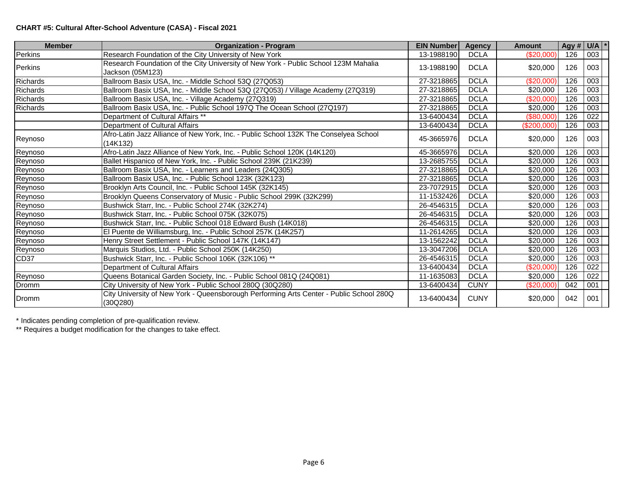## **CHART #5: Cultural After-School Adventure (CASA) - Fiscal 2021**

| <b>Member</b> | <b>Organization - Program</b>                                                                           | <b>EIN Number</b> | <b>Agency</b> | <b>Amount</b>    | Agy # $U/A$ * |     |  |
|---------------|---------------------------------------------------------------------------------------------------------|-------------------|---------------|------------------|---------------|-----|--|
| Perkins       | Research Foundation of the City University of New York                                                  | 13-1988190        | <b>DCLA</b>   | (\$20,000)       | 126           | 003 |  |
| Perkins       | Research Foundation of the City University of New York - Public School 123M Mahalia<br>Jackson (05M123) | 13-1988190        | <b>DCLA</b>   | \$20,000         | 126           | 003 |  |
| Richards      | Ballroom Basix USA, Inc. - Middle School 53Q (27Q053)                                                   | 27-3218865        | <b>DCLA</b>   | (\$20,000)       | 126           | 003 |  |
| Richards      | Ballroom Basix USA, Inc. - Middle School 53Q (27Q053) / Village Academy (27Q319)                        | 27-3218865        | <b>DCLA</b>   | \$20,000         | 126           | 003 |  |
| Richards      | Ballroom Basix USA, Inc. - Village Academy (27Q319)                                                     | 27-3218865        | <b>DCLA</b>   | (\$20,000)       | 126           | 003 |  |
| Richards      | Ballroom Basix USA, Inc. - Public School 197Q The Ocean School (27Q197)                                 | 27-3218865        | <b>DCLA</b>   | \$20,000         | 126           | 003 |  |
|               | Department of Cultural Affairs **                                                                       | 13-6400434        | <b>DCLA</b>   | $(\$80,000)$     | 126           | 022 |  |
|               | Department of Cultural Affairs                                                                          | 13-6400434        | <b>DCLA</b>   | (\$200,000)      | 126           | 003 |  |
| Reynoso       | Afro-Latin Jazz Alliance of New York, Inc. - Public School 132K The Conselyea School<br>(14K132)        | 45-3665976        | <b>DCLA</b>   | \$20,000         | 126           | 003 |  |
| Reynoso       | Afro-Latin Jazz Alliance of New York, Inc. - Public School 120K (14K120)                                | 45-3665976        | <b>DCLA</b>   | \$20,000         | 126           | 003 |  |
| Reynoso       | Ballet Hispanico of New York, Inc. - Public School 239K (21K239)                                        | 13-2685755        | <b>DCLA</b>   | \$20,000         | 126           | 003 |  |
| Reynoso       | Ballroom Basix USA, Inc. - Learners and Leaders (24Q305)                                                | 27-3218865        | <b>DCLA</b>   | $\sqrt{$20,000}$ | 126           | 003 |  |
| Reynoso       | Ballroom Basix USA, Inc. - Public School 123K (32K123)                                                  | 27-3218865        | <b>DCLA</b>   | \$20,000         | 126           | 003 |  |
| Reynoso       | Brooklyn Arts Council, Inc. - Public School 145K (32K145)                                               | 23-7072915        | <b>DCLA</b>   | \$20,000         | 126           | 003 |  |
| Reynoso       | Brooklyn Queens Conservatory of Music - Public School 299K (32K299)                                     | 11-1532426        | <b>DCLA</b>   | \$20,000         | 126           | 003 |  |
| Reynoso       | Bushwick Starr, Inc. - Public School 274K (32K274)                                                      | 26-4546315        | <b>DCLA</b>   | \$20,000         | 126           | 003 |  |
| Reynoso       | Bushwick Starr, Inc. - Public School 075K (32K075)                                                      | 26-4546315        | <b>DCLA</b>   | \$20,000         | 126           | 003 |  |
| Reynoso       | Bushwick Starr, Inc. - Public School 018 Edward Bush (14K018)                                           | 26-4546315        | <b>DCLA</b>   | \$20,000         | 126           | 003 |  |
| Reynoso       | El Puente de Williamsburg, Inc. - Public School 257K (14K257)                                           | 11-2614265        | <b>DCLA</b>   | \$20,000         | 126           | 003 |  |
| Reynoso       | Henry Street Settlement - Public School 147K (14K147)                                                   | 13-1562242        | <b>DCLA</b>   | \$20,000         | 126           | 003 |  |
| Reynoso       | Marquis Studios, Ltd. - Public School 250K (14K250)                                                     | 13-3047206        | <b>DCLA</b>   | \$20,000         | 126           | 003 |  |
| CD37          | Bushwick Starr, Inc. - Public School 106K (32K106) **                                                   | 26-4546315        | <b>DCLA</b>   | \$20,000         | 126           | 003 |  |
|               | Department of Cultural Affairs                                                                          | 13-6400434        | <b>DCLA</b>   | $(\$20,000)$     | 126           | 022 |  |
| Reynoso       | Queens Botanical Garden Society, Inc. - Public School 081Q (24Q081)                                     | 11-1635083        | <b>DCLA</b>   | \$20,000         | 126           | 022 |  |
| Dromm         | City University of New York - Public School 280Q (30Q280)                                               | 13-6400434        | <b>CUNY</b>   | (\$20,000)       | 042           | 001 |  |
| Dromm         | City University of New York - Queensborough Performing Arts Center - Public School 280Q<br>(30Q280)     | 13-6400434        | <b>CUNY</b>   | \$20,000         | 042           | 001 |  |

\* Indicates pending completion of pre-qualification review.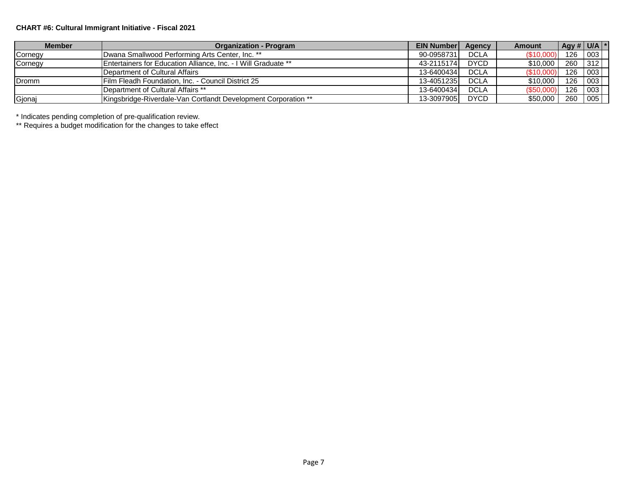## **CHART #6: Cultural Immigrant Initiative - Fiscal 2021**

| <b>Member</b> | <b>Organization - Program</b>                                          | <b>EIN Number</b> | Agency      | Amount    | $ $ Agy # $ $ U/A $ $ * |                                |  |
|---------------|------------------------------------------------------------------------|-------------------|-------------|-----------|-------------------------|--------------------------------|--|
| Cornegy       | IDwana Smallwood Performing Arts Center, Inc. **                       | 90-0958731        | <b>DCLA</b> | (\$10,00  | 126 003                 |                                |  |
| Cornegy       | <b>IEntertainers for Education Alliance, Inc. - I Will Graduate **</b> | 43-2115174        | <b>DYCD</b> | \$10,000  | 260                     | $\begin{array}{c} \end{array}$ |  |
|               | Department of Cultural Affairs                                         | 13-6400434        | <b>DCLA</b> | 4510,000  | 126 003                 |                                |  |
| Dromm         | Film Fleadh Foundation, Inc. - Council District 25                     | 13-4051235        | <b>DCLA</b> | \$10,000  | 126 003                 |                                |  |
|               | <b>IDepartment of Cultural Affairs **</b>                              | 13-6400434        | <b>DCLA</b> | (\$50,00) | 126 003                 |                                |  |
| Gjonaj        | <b>Kingsbridge-Riverdale-Van Cortlandt Development Corporation **</b>  | 13-3097905        | <b>DYCD</b> | \$50,000  | 260                     | 005                            |  |

\* Indicates pending completion of pre-qualification review.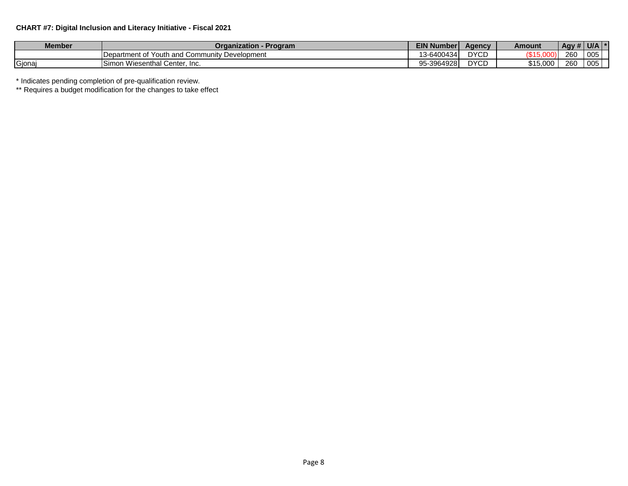## **CHART #7: Digital Inclusion and Literacy Initiative - Fiscal 2021**

| <b>Member</b> | <b>Organization -</b><br>- Program               | <b>EIN Numberl</b> | <b>Agency</b> | Amount   | $\overline{AB}$ Agy $\overline{A}$ | U/A |  |
|---------------|--------------------------------------------------|--------------------|---------------|----------|------------------------------------|-----|--|
|               | Department of Youth and Community<br>Development | 13-6400434         | <b>DYCD</b>   | Q4E      | 260                                | 005 |  |
| Gjonaj        | v Wiesenthal Center, Inc.<br>Simon               | 95-3964928         | <b>DYCD</b>   | \$15.000 | 260                                | 005 |  |

\* Indicates pending completion of pre-qualification review.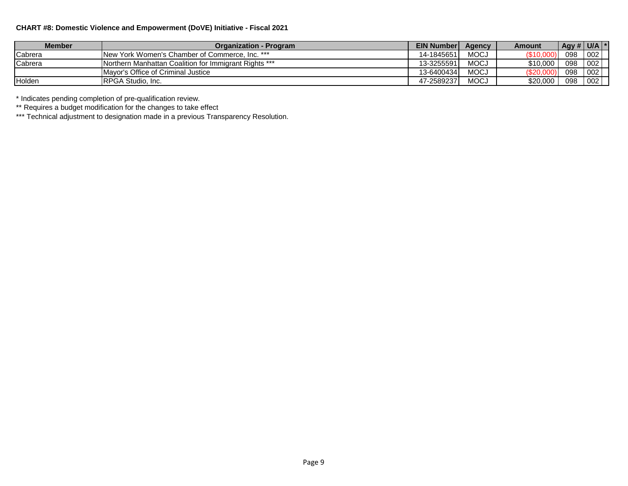## **CHART #8: Domestic Violence and Empowerment (DoVE) Initiative - Fiscal 2021**

| Member  | <b>Organization - Program</b>                                | EIN Number | <b>Agency</b> | Amount        | $\vert$ Agy # $\vert$ U/A $\vert$ |     |
|---------|--------------------------------------------------------------|------------|---------------|---------------|-----------------------------------|-----|
| Cabrera | <b>INew York Women's Chamber of Commerce. Inc. ***</b>       | 14-1845651 | <b>MOCJ</b>   | <b>\$10,0</b> | 098                               | 002 |
| Cabrera | <b>Northern Manhattan Coalition for Immigrant Rights ***</b> | 13-3255591 | <b>MOCJ</b>   | \$10,000      | 098                               | 002 |
|         | Mayor's Office of Criminal Justice                           | 13-6400434 | <b>MOCJ</b>   | \$20,00       | 098                               | 002 |
| Holden  | <b>IRPGA Studio, Inc.</b>                                    | 47-2589237 | <b>MOCJ</b>   | \$20,000      | 098                               | 002 |

\* Indicates pending completion of pre-qualification review.

\*\* Requires a budget modification for the changes to take effect

\*\*\* Technical adjustment to designation made in a previous Transparency Resolution.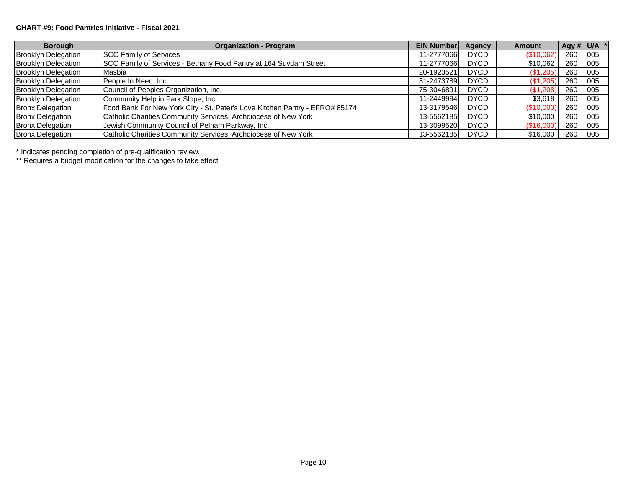#### **CHART #9: Food Pantries Initiative - Fiscal 2021**

| <b>Borough</b>             | <b>Organization - Program</b>                                               | <b>EIN Number</b> | Agency      | <b>Amount</b> | Agy # $U/A$ * |     |  |
|----------------------------|-----------------------------------------------------------------------------|-------------------|-------------|---------------|---------------|-----|--|
| <b>Brooklyn Delegation</b> | <b>SCO Family of Services</b>                                               | 11-2777066        | <b>DYCD</b> | (\$10,062)    | 260           | 005 |  |
| <b>Brooklyn Delegation</b> | SCO Family of Services - Bethany Food Pantry at 164 Suydam Street           | 11-2777066        | <b>DYCD</b> | \$10,062      | 260           | 005 |  |
| <b>Brooklyn Delegation</b> | Masbia                                                                      | 20-1923521        | <b>DYCD</b> | (\$1,205)     | 260           | 005 |  |
| <b>Brooklyn Delegation</b> | People In Need, Inc.                                                        | 81-2473789        | <b>DYCD</b> | (\$1,205)     | 260           | 005 |  |
| <b>Brooklyn Delegation</b> | Council of Peoples Organization, Inc.                                       | 75-3046891        | <b>DYCD</b> | (\$1,208)     | 260           | 005 |  |
| <b>Brooklyn Delegation</b> | Community Help in Park Slope, Inc.                                          | 11-2449994        | <b>DYCD</b> | \$3,618       | 260           | 005 |  |
| <b>Bronx Delegation</b>    | Food Bank For New York City - St. Peter's Love Kitchen Pantry - EFRO# 85174 | 13-3179546        | <b>DYCD</b> | (\$10,000)    | 260           | 005 |  |
| <b>Bronx Delegation</b>    | Catholic Charities Community Services, Archdiocese of New York              | 13-5562185        | <b>DYCD</b> | \$10,000      | 260           | 005 |  |
| <b>Bronx Delegation</b>    | Jewish Community Council of Pelham Parkway, Inc.                            | 13-3099520        | <b>DYCD</b> | (\$16,000)    | 260           | 005 |  |
| <b>Bronx Delegation</b>    | Catholic Charities Community Services, Archdiocese of New York              | 13-5562185        | <b>DYCD</b> | \$16,000      | 260           | 005 |  |

\* Indicates pending completion of pre-qualification review.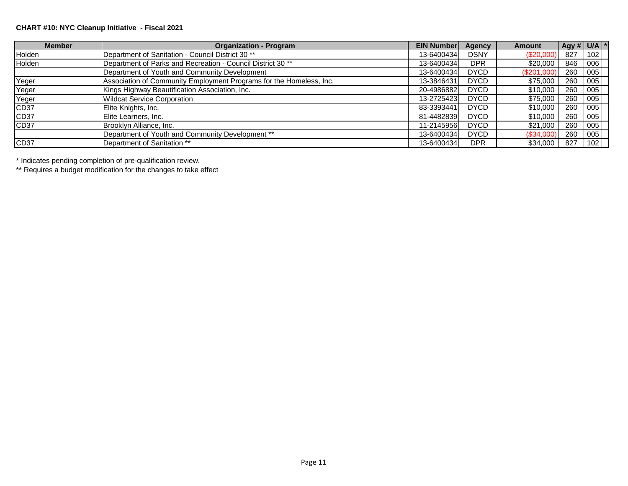## **CHART #10: NYC Cleanup Initiative - Fiscal 2021**

| <b>Member</b>    | <b>Organization - Program</b>                                          | <b>EIN Number</b> | Agency      | <b>Amount</b> | $\left  \right $ Agy # U/A $\left  * \right $ |                  |  |
|------------------|------------------------------------------------------------------------|-------------------|-------------|---------------|-----------------------------------------------|------------------|--|
| Holden           | Department of Sanitation - Council District 30 <sup>**</sup>           | 13-6400434        | <b>DSNY</b> | $(\$20,000)$  | 827                                           | 102              |  |
| Holden           | Department of Parks and Recreation - Council District 30 <sup>**</sup> | 13-6400434        | <b>DPR</b>  | \$20,000      | 846                                           | 006              |  |
|                  | Department of Youth and Community Development                          | 13-6400434        | <b>DYCD</b> | (\$201,000    | 260                                           | $\overline{005}$ |  |
| Yeger            | Association of Community Employment Programs for the Homeless, Inc.    | 13-3846431        | <b>DYCD</b> | \$75,000      | 260                                           | 005              |  |
| Yeger            | Kings Highway Beautification Association, Inc.                         | 20-4986882        | <b>DYCD</b> | \$10,000      | 260                                           | 005              |  |
| Yeger            | <b>Wildcat Service Corporation</b>                                     | 13-2725423        | <b>DYCD</b> | \$75,000      | 260                                           | 005              |  |
| CD <sub>37</sub> | Elite Knights, Inc.                                                    | 83-3393441        | <b>DYCD</b> | \$10,000      | 260                                           | 005              |  |
| CD <sub>37</sub> | Elite Learners, Inc.                                                   | 81-4482839        | <b>DYCD</b> | \$10,000      | 260                                           | 005              |  |
| CD <sub>37</sub> | Brooklyn Alliance, Inc.                                                | 11-2145956        | <b>DYCD</b> | \$21,000      | 260                                           | 005              |  |
|                  | Department of Youth and Community Development **                       | 13-6400434        | <b>DYCD</b> | (\$34,000     | 260                                           | 005              |  |
| CD <sub>37</sub> | Department of Sanitation **                                            | 13-6400434        | <b>DPR</b>  | \$34,000      | 827                                           | 102              |  |

\* Indicates pending completion of pre-qualification review.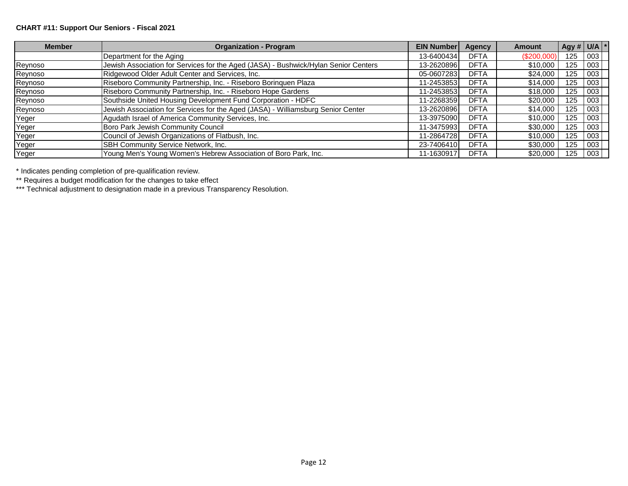## **CHART #11: Support Our Seniors - Fiscal 2021**

| <b>Member</b> | <b>Organization - Program</b>                                                       | <b>EIN Number</b> | <b>Agency</b> | <b>Amount</b> | $\left  \right $ Agy # U/A $\left  * \right $ |     |  |
|---------------|-------------------------------------------------------------------------------------|-------------------|---------------|---------------|-----------------------------------------------|-----|--|
|               | Department for the Aging                                                            | 13-6400434        | <b>DFTA</b>   | (\$200,000    | 125                                           | 003 |  |
| Reynoso       | Jewish Association for Services for the Aged (JASA) - Bushwick/Hylan Senior Centers | 13-2620896        | <b>DFTA</b>   | \$10,000      | 125                                           | 003 |  |
| Reynoso       | Ridgewood Older Adult Center and Services, Inc.                                     | 05-0607283        | <b>DFTA</b>   | \$24,000      | 125                                           | 003 |  |
| Reynoso       | Riseboro Community Partnership, Inc. - Riseboro Borinquen Plaza                     | 11-2453853        | <b>DFTA</b>   | \$14,000      | 125                                           | 003 |  |
| Reynoso       | Riseboro Community Partnership, Inc. - Riseboro Hope Gardens                        | 11-2453853        | <b>DFTA</b>   | \$18,000      | 125                                           | 003 |  |
| Reynoso       | Southside United Housing Development Fund Corporation - HDFC                        | 11-2268359        | <b>DFTA</b>   | \$20,000      | 125                                           | 003 |  |
| Reynoso       | Jewish Association for Services for the Aged (JASA) - Williamsburg Senior Center    | 13-2620896        | <b>DFTA</b>   | \$14,000      | 125                                           | 003 |  |
| Yeger         | Agudath Israel of America Community Services, Inc.                                  | 13-3975090        | <b>DFTA</b>   | \$10,000      | 125                                           | 003 |  |
| Yeger         | Boro Park Jewish Community Council                                                  | 11-3475993        | <b>DFTA</b>   | \$30,000      | 125                                           | 003 |  |
| Yeger         | Council of Jewish Organizations of Flatbush, Inc.                                   | 11-2864728        | <b>DFTA</b>   | \$10,000      | 125                                           | 003 |  |
| Yeger         | SBH Community Service Network, Inc.                                                 | 23-7406410        | <b>DFTA</b>   | \$30,000      | 125                                           | 003 |  |
| Yeger         | Young Men's Young Women's Hebrew Association of Boro Park, Inc.                     | 11-1630917        | <b>DFTA</b>   | \$20,000      | 125                                           | 003 |  |

\* Indicates pending completion of pre-qualification review.

\*\* Requires a budget modification for the changes to take effect

\*\*\* Technical adjustment to designation made in a previous Transparency Resolution.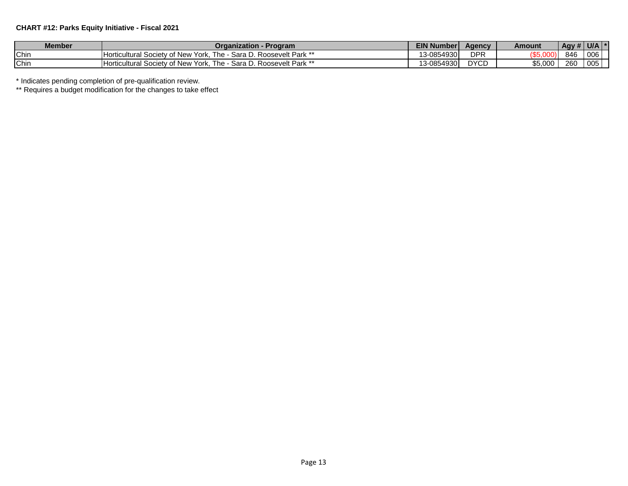## **CHART #12: Parks Equity Initiative - Fiscal 2021**

| <b>Member</b> | Program<br>Organization                                                                                  | <b>EIN Numberl</b>                     | Agency      | Amount  | $1$ Agy $^{\#}$ | U/L<br>$\mathbf{r}$ |
|---------------|----------------------------------------------------------------------------------------------------------|----------------------------------------|-------------|---------|-----------------|---------------------|
| Chin          | . Roosevelt Park **<br>∕ of New<br>Horticultural<br>York.<br>Sara D<br>l he<br>Society<br>◡.             | 13-0854930<br>ໍ່                       | <b>DPR</b>  |         | 846             | 00 <sub>6</sub>     |
| Chin          | ∠ <i>⊔</i> . Roosevelt Park **<br>Sara D<br>York.<br>′ of New<br>The.<br><b>Horticultural</b><br>Society | 13-0854930<br>$\overline{\phantom{a}}$ | <b>DYCD</b> | \$5,000 | റസ<br>∠o∪       | 005                 |

\* Indicates pending completion of pre-qualification review.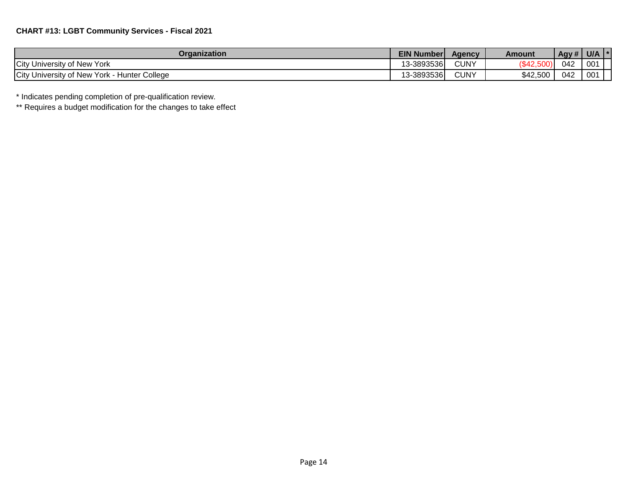| Organization                                  | <b>EIN Number</b> | <b>Agency</b> | Amount   | Agy# | <b>U/A</b>      |  |
|-----------------------------------------------|-------------------|---------------|----------|------|-----------------|--|
| City University of New York                   | 13-3893536        | <b>CUNY</b>   | 342'     | 042  | 00 <sup>1</sup> |  |
| City University of New York<br>Hunter College | 13-3893536        | <b>CUNY</b>   | \$42,500 | 042  | 001             |  |

\* Indicates pending completion of pre-qualification review.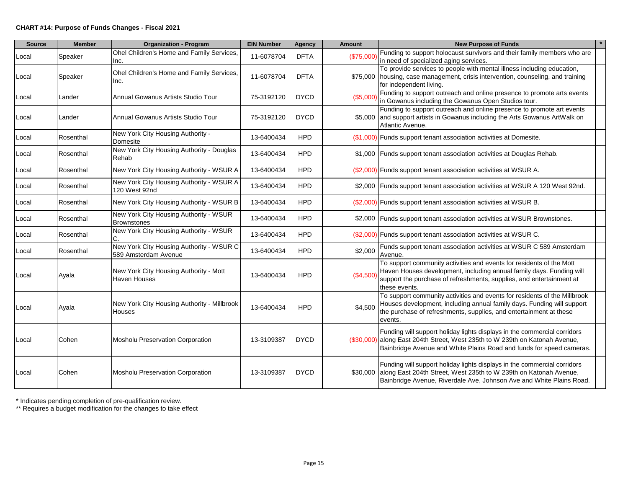#### **CHART #14: Purpose of Funds Changes - Fiscal 2021**

| <b>Source</b> | <b>Member</b> | <b>Organization - Program</b>                                    | <b>EIN Number</b> | Agency      | <b>Amount</b> | <b>New Purpose of Funds</b>                                                                                                                                                                                                           |
|---------------|---------------|------------------------------------------------------------------|-------------------|-------------|---------------|---------------------------------------------------------------------------------------------------------------------------------------------------------------------------------------------------------------------------------------|
| Local         | Speaker       | Ohel Children's Home and Family Services,<br>Inc.                | 11-6078704        | <b>DFTA</b> | (\$75,000     | Funding to support holocaust survivors and their family members who are<br>in need of specialized aging services.                                                                                                                     |
| Local         | Speaker       | Ohel Children's Home and Family Services,<br>Inc.                | 11-6078704        | <b>DFTA</b> |               | To provide services to people with mental illness including education,<br>\$75,000   housing, case management, crisis intervention, counseling, and training<br>for independent living.                                               |
| Local         | Lander        | Annual Gowanus Artists Studio Tour                               | 75-3192120        | <b>DYCD</b> | (\$5,000)     | Funding to support outreach and online presence to promote arts events<br>in Gowanus including the Gowanus Open Studios tour.                                                                                                         |
| Local         | Lander        | Annual Gowanus Artists Studio Tour                               | 75-3192120        | <b>DYCD</b> |               | Funding to support outreach and online presence to promote art events<br>\$5,000 and support artists in Gowanus including the Arts Gowanus ArtWalk on<br>Atlantic Avenue.                                                             |
| Local         | Rosenthal     | New York City Housing Authority -<br>Domesite                    | 13-6400434        | <b>HPD</b>  |               | (\$1,000) Funds support tenant association activities at Domesite.                                                                                                                                                                    |
| Local         | Rosenthal     | New York City Housing Authority - Douglas<br>Rehab               | 13-6400434        | <b>HPD</b>  |               | \$1,000 Funds support tenant association activities at Douglas Rehab.                                                                                                                                                                 |
| Local         | Rosenthal     | New York City Housing Authority - WSUR A                         | 13-6400434        | <b>HPD</b>  |               | (\$2,000) Funds support tenant association activities at WSUR A.                                                                                                                                                                      |
| Local         | Rosenthal     | New York City Housing Authority - WSUR A<br>120 West 92nd        | 13-6400434        | <b>HPD</b>  |               | \$2,000 Funds support tenant association activities at WSUR A 120 West 92nd.                                                                                                                                                          |
| Local         | Rosenthal     | New York City Housing Authority - WSUR B                         | 13-6400434        | <b>HPD</b>  |               | (\$2,000) Funds support tenant association activities at WSUR B.                                                                                                                                                                      |
| Local         | Rosenthal     | New York City Housing Authority - WSUR<br><b>Brownstones</b>     | 13-6400434        | <b>HPD</b>  |               | \$2,000 Funds support tenant association activities at WSUR Brownstones.                                                                                                                                                              |
| Local         | Rosenthal     | New York City Housing Authority - WSUR<br>C.                     | 13-6400434        | <b>HPD</b>  |               | (\$2,000) Funds support tenant association activities at WSUR C.                                                                                                                                                                      |
| Local         | Rosenthal     | New York City Housing Authority - WSUR C<br>589 Amsterdam Avenue | 13-6400434        | <b>HPD</b>  | \$2,000       | Funds support tenant association activities at WSUR C 589 Amsterdam<br>Avenue.                                                                                                                                                        |
| Local         | Ayala         | New York City Housing Authority - Mott<br>Haven Houses           | 13-6400434        | <b>HPD</b>  | (\$4,500)     | To support community activities and events for residents of the Mott<br>Haven Houses development, including annual family days. Funding will<br>support the purchase of refreshments, supplies, and entertainment at<br>these events. |
| Local         | Ayala         | New York City Housing Authority - Millbrook<br>Houses            | 13-6400434        | <b>HPD</b>  | \$4,500       | To support community activities and events for residents of the Millbrook<br>Houses development, including annual family days. Funding will support<br>the purchase of refreshments, supplies, and entertainment at these<br>events.  |
| Local         | Cohen         | Mosholu Preservation Corporation                                 | 13-3109387        | <b>DYCD</b> |               | Funding will support holiday lights displays in the commercial corridors<br>(\$30,000) along East 204th Street, West 235th to W 239th on Katonah Avenue,<br>Bainbridge Avenue and White Plains Road and funds for speed cameras.      |
| Local         | Cohen         | <b>Mosholu Preservation Corporation</b>                          | 13-3109387        | <b>DYCD</b> |               | Funding will support holiday lights displays in the commercial corridors<br>\$30,000 along East 204th Street, West 235th to W 239th on Katonah Avenue,<br>Bainbridge Avenue, Riverdale Ave, Johnson Ave and White Plains Road.        |

\* Indicates pending completion of pre-qualification review.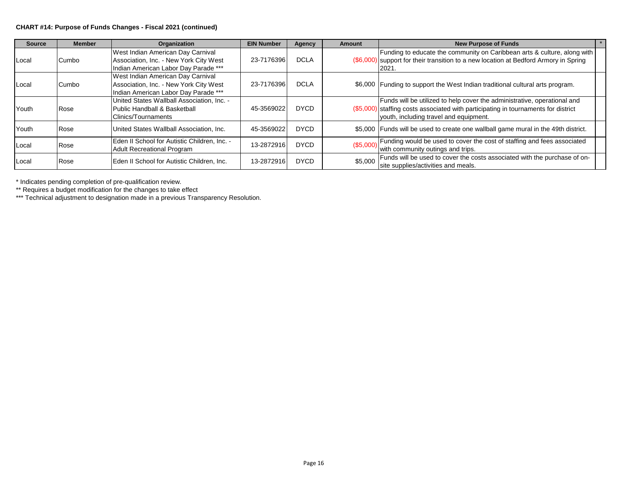#### **CHART #14: Purpose of Funds Changes - Fiscal 2021 (continued)**

| <b>Source</b> | <b>Member</b> | Organization                                                                                                        | <b>EIN Number</b> | Agency      | <b>Amount</b> | <b>New Purpose of Funds</b>                                                                                                                                                                              |  |
|---------------|---------------|---------------------------------------------------------------------------------------------------------------------|-------------------|-------------|---------------|----------------------------------------------------------------------------------------------------------------------------------------------------------------------------------------------------------|--|
| Local         | Cumbo         | West Indian American Day Carnival<br>Association, Inc. - New York City West<br>Indian American Labor Day Parade *** | 23-7176396        | <b>DCLA</b> |               | Funding to educate the community on Caribbean arts & culture, along with<br>(\$6,000) support for their transition to a new location at Bedford Armory in Spring<br>2021.                                |  |
| Local         | Cumbo         | West Indian American Day Carnival<br>Association, Inc. - New York City West<br>Indian American Labor Day Parade *** | 23-7176396        | <b>DCLA</b> |               | \$6,000 Funding to support the West Indian traditional cultural arts program.                                                                                                                            |  |
| Youth         | Rose          | United States Wallball Association. Inc. -<br>Public Handball & Basketball<br>IClinics/Tournaments                  | 45-3569022        | <b>DYCD</b> |               | Funds will be utilized to help cover the administrative, operational and<br>(\$5,000) staffing costs associated with participating in tournaments for district<br>vouth, including travel and equipment. |  |
| Youth         | <b>Rose</b>   | United States Wallball Association, Inc.                                                                            | 45-3569022        | <b>DYCD</b> |               | \$5,000 Funds will be used to create one wallball game mural in the 49th district.                                                                                                                       |  |
| Local         | Rose          | Eden II School for Autistic Children, Inc. -<br><b>Adult Recreational Program</b>                                   | 13-2872916        | <b>DYCD</b> | (\$5,000)     | Funding would be used to cover the cost of staffing and fees associated<br>with community outings and trips.                                                                                             |  |
| Local         | Rose          | Eden II School for Autistic Children, Inc.                                                                          | 13-2872916        | <b>DYCD</b> | \$5,000       | Funds will be used to cover the costs associated with the purchase of on-<br>site supplies/activities and meals.                                                                                         |  |

\* Indicates pending completion of pre-qualification review.

\*\* Requires a budget modification for the changes to take effect

\*\*\* Technical adjustment to designation made in a previous Transparency Resolution.